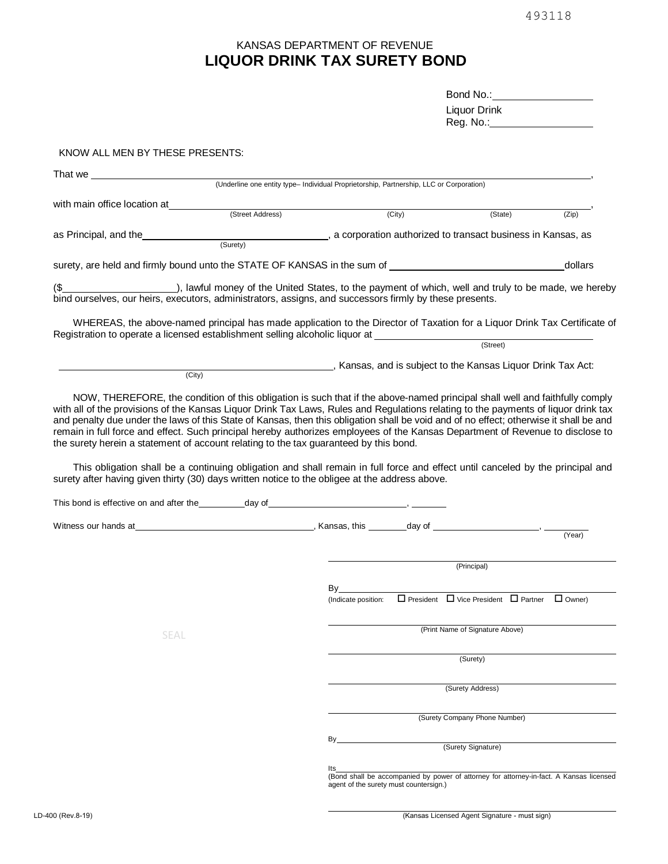## **LIQUOR DRINK TAX SURETY BOND** KANSAS DEPARTMENT OF REVENUE

| Bond No.:_   |  |
|--------------|--|
| Liquor Drink |  |
| Reg. No.:_   |  |

KNOW ALL MEN BY THESE PRESENTS:

|                                                                                                                                                                                                                                  |                  | (Underline one entity type- Individual Proprietorship, Partnership, LLC or Corporation) |                                        |                                                                                         |          |
|----------------------------------------------------------------------------------------------------------------------------------------------------------------------------------------------------------------------------------|------------------|-----------------------------------------------------------------------------------------|----------------------------------------|-----------------------------------------------------------------------------------------|----------|
| with main office location at                                                                                                                                                                                                     |                  |                                                                                         |                                        |                                                                                         |          |
|                                                                                                                                                                                                                                  | (Street Address) |                                                                                         | (City)                                 | (State)                                                                                 | (Zip)    |
| as Principal, and the <b>State of Contract Control</b> , a corporation authorized to transact business in Kansas, as                                                                                                             |                  |                                                                                         |                                        |                                                                                         |          |
|                                                                                                                                                                                                                                  |                  |                                                                                         |                                        |                                                                                         |          |
| surety, are held and firmly bound unto the STATE OF KANSAS in the sum of __________________________                                                                                                                              |                  |                                                                                         |                                        |                                                                                         | _dollars |
|                                                                                                                                                                                                                                  |                  |                                                                                         |                                        |                                                                                         |          |
|                                                                                                                                                                                                                                  |                  |                                                                                         |                                        |                                                                                         |          |
| WHEREAS, the above-named principal has made application to the Director of Taxation for a Liquor Drink Tax Certificate of                                                                                                        |                  |                                                                                         |                                        |                                                                                         |          |
| Registration to operate a licensed establishment selling alcoholic liquor at ______________________                                                                                                                              |                  |                                                                                         |                                        |                                                                                         |          |
|                                                                                                                                                                                                                                  |                  |                                                                                         |                                        |                                                                                         |          |
|                                                                                                                                                                                                                                  | (City)           |                                                                                         |                                        | Kansas, and is subject to the Kansas Liquor Drink Tax Act:                              |          |
| NOW, THEREFORE, the condition of this obligation is such that if the above-named principal shall well and faithfully comply                                                                                                      |                  |                                                                                         |                                        |                                                                                         |          |
| This obligation shall be a continuing obligation and shall remain in full force and effect until canceled by the principal and<br>surety after having given thirty (30) days written notice to the obligee at the address above. |                  |                                                                                         |                                        |                                                                                         |          |
|                                                                                                                                                                                                                                  |                  |                                                                                         |                                        |                                                                                         |          |
|                                                                                                                                                                                                                                  |                  |                                                                                         |                                        |                                                                                         |          |
|                                                                                                                                                                                                                                  |                  |                                                                                         |                                        |                                                                                         | (Year)   |
|                                                                                                                                                                                                                                  |                  |                                                                                         |                                        | (Principal)                                                                             |          |
|                                                                                                                                                                                                                                  |                  | $\mathsf{By}$                                                                           |                                        |                                                                                         |          |
|                                                                                                                                                                                                                                  |                  | (Indicate position:                                                                     |                                        | $\Box$ President $\Box$ Vice President $\Box$ Partner $\Box$ Owner)                     |          |
|                                                                                                                                                                                                                                  |                  |                                                                                         |                                        | (Print Name of Signature Above)                                                         |          |
| <b>SEAL</b>                                                                                                                                                                                                                      |                  |                                                                                         |                                        |                                                                                         |          |
|                                                                                                                                                                                                                                  |                  |                                                                                         |                                        | (Surety)                                                                                |          |
|                                                                                                                                                                                                                                  |                  |                                                                                         |                                        | (Surety Address)                                                                        |          |
|                                                                                                                                                                                                                                  |                  |                                                                                         |                                        | (Surety Company Phone Number)                                                           |          |
|                                                                                                                                                                                                                                  |                  |                                                                                         |                                        |                                                                                         |          |
|                                                                                                                                                                                                                                  |                  | By                                                                                      |                                        | (Surety Signature)                                                                      |          |
|                                                                                                                                                                                                                                  |                  | lts                                                                                     |                                        | (Bond shall be accompanied by power of attorney for attorney-in-fact. A Kansas licensed |          |
|                                                                                                                                                                                                                                  |                  |                                                                                         | agent of the surety must countersign.) |                                                                                         |          |